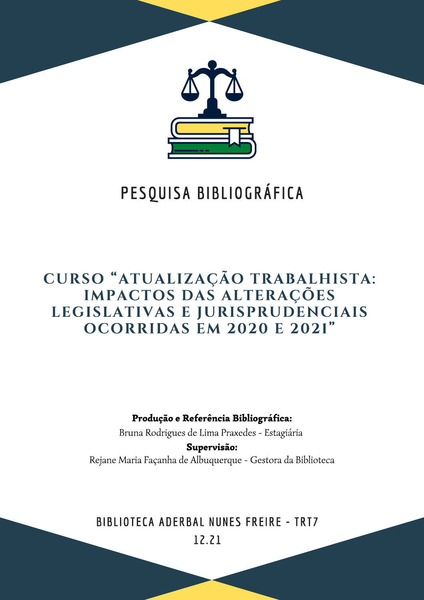

# PESQUISA BIBLIOGRÁFICA

# CURSO "ATUALIZAÇÃO TRABALHISTA: IMPACTOS DAS ALTERAÇÕES LEGISLATIVAS E JURISPRUDENCIAIS OCORRIDAS EM 2020 E 2021"

Produção e Referência Bibliográfica:

Bruna Rodrigues de Lima Praxedes - Estagiária

Supervisão: Rejane Maria Façanha de Albuquerque - Gestora da Biblioteca

# **BIBLIOTECA ADERBAL NUNES FREIRE - TRT7**

12.21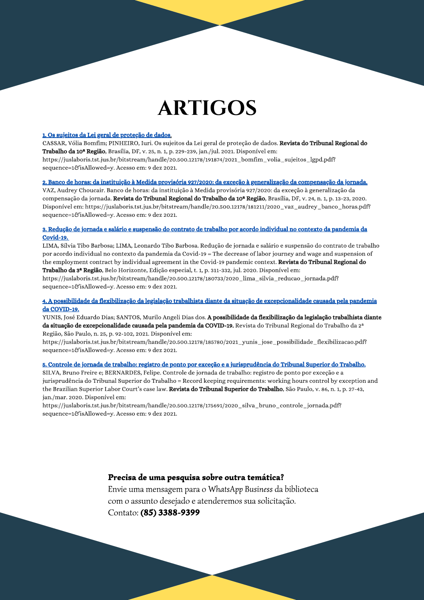# **ARTIGOS**

#### 1. Os sujeitos da Lei geral de proteção de dados.

CASSAR, Vólia Bomfim; PINHEIRO, Iuri. Os sujeitos da Lei geral de proteção de dados. Revista do Tribunal Regional do Trabalho da 10ª Região, Brasília, DF, v. 25, n. 1, p. 229-239, jan./jul. 2021. Disponível em:

https://juslaboris.tst.jus.br/bitstream/handle/20.500.12178/191874/2021\_bomfim\_volia\_sujeitos\_lgpd.pdf? sequence=1&isAllowed=y. Acesso em: 9 dez 2021.

#### 2. Banco de horas: da instituição à Medida provisória 927/2020: da exceção à generalização da compensação da jornada.

VAZ, Audrey Choucair. Banco de horas: da instituição à Medida provisória 927/2020: da exceção à generalização da compensação da jornada. Revista do Tribunal Regional do Trabalho da 10ª Região, Brasília, DF, v. 24, n. 1, p. 13-23, 2020. Disponível em: https://juslaboris.tst.jus.br/bitstream/handle/20.500.12178/181211/2020\_vaz\_audrey\_banco\_horas.pdf? sequence=1&isAllowed=y. Acesso em: 9 dez 2021.

#### 3. Redução de jornada e salário e suspensão do contrato de trabalho por acordo individual no contexto da pandemia da **Covid-19.**

LIMA, Sílvia Tibo Barbosa; LIMA, Leonardo Tibo Barbosa. Redução de jornada e salário e suspensão do contrato de trabalho por acordo individual no contexto da pandemia da Covid-19 = The decrease of labor journey and wage and suspension of the employment contract by individual agreement in the Covid-19 pandemic context. Revista do Tribunal Regional do Trabalho da 3ª Região, Belo Horizonte, Edição especial, t. 1, p. 311-332, jul. 2020. Disponível em:

https://juslaboris.tst.jus.br/bitstream/handle/20.500.12178/180733/2020\_lima\_silvia\_reducao\_jornada.pdf? sequence=1&isAllowed=y. Acesso em: 9 dez 2021.

### 4. A possibilidade da flexibilização da legislação trabalhista diante da situação de excepcionalidade causada pela pandemia da COVID-19.

YUNIS, José Eduardo Dias; SANTOS, Murilo Angeli Dias dos. A possibilidade da flexibilização da legislação trabalhista diante da situação de excepcionalidade causada pela pandemia da COVID-19. Revista do Tribunal Regional do Trabalho da 2ª Região, São Paulo, n. 25, p. 92-102, 2021. Disponível em:

https://juslaboris.tst.jus.br/bitstream/handle/20.500.12178/185780/2021\_yunis\_jose\_possibilidade\_flexibilizacao.pdf? sequence=1&isAllowed=y. Acesso em: 9 dez 2021.

#### 5. Controle de jornada de trabalho: registro de ponto por exceção e a jurisprudência do Tribunal Superior do Trabalho.

SILVA, Bruno Freire e; BERNARDES, Felipe. Controle de jornada de trabalho: registro de ponto por exceção e a jurisprudência do Tribunal Superior do Trabalho = Record keeping requirements: working hours control by exception and the Brazilian Superior Labor Court's case law. Revista do Tribunal Superior do Trabalho, São Paulo, v. 86, n. 1, p. 27-43, jan./mar. 2020. Disponível em:

https://juslaboris.tst.jus.br/bitstream/handle/20.500.12178/175691/2020\_silva\_bruno\_controle\_jornada.pdf? sequence=1&isAllowed=y. Acesso em: 9 dez 2021.

## Precisa de uma pesquisa sobre outra temática?

Envie uma mensagem para o WhatsApp Business da biblioteca com o assunto desejado e atenderemos sua solicitação. Contato: (85) 3388-9399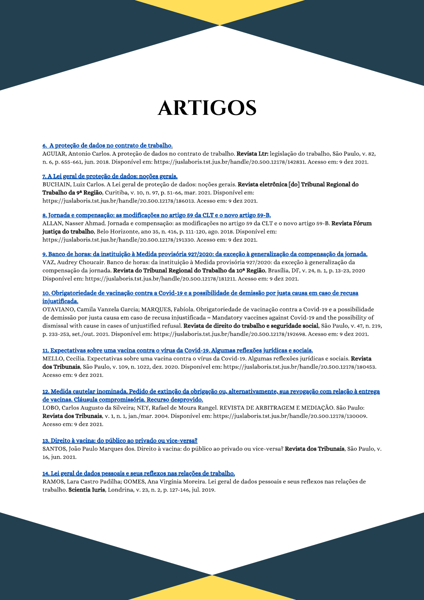# **ARTIGOS**

#### 6. A proteção de dados no contrato de trabalho.

AGUIAR, Antonio Carlos. A proteção de dados no contrato de trabalho. Revista Ltr: legislação do trabalho, São Paulo, v. 82, n. 6, p. 655-661, jun. 2018. Disponível em: https://juslaboris.tst.jus.br/handle/20.500.12178/142831. Acesso em: 9 dez 2021.

#### 7. A Lei geral de proteção de dados: noções gerais.

BUCHAIN, Luiz Carlos. A Lei geral de proteção de dados: noções gerais. Revista eletrônica [do] Tribunal Regional do Trabalho da 9ª Região, Curitiba, v. 10, n. 97, p. 51-66, mar. 2021. Disponível em: https://juslaboris.tst.jus.br/handle/20.500.12178/186013. Acesso em: 9 dez 2021.

#### 8. Jornada e compensação: as modificações no artigo 59 da CLT e o novo artigo 59-B.

ALLAN, Nasser Ahmad. Jornada e compensação: as modificações no artigo 59 da CLT e o novo artigo 59-B. Revista Fórum justiça do trabalho, Belo Horizonte, ano 35, n. 416, p. 111-120, ago. 2018. Disponível em: https://juslaboris.tst.jus.br/handle/20.500.12178/191330. Acesso em: 9 dez 2021.

#### 9. Banco de horas: da instituição à Medida provisória 927/2020: da exceção à generalização da compensação da jornada.

VAZ, Audrey Choucair, Banco de horas; da instituição à Medida provisória 927/2020; da exceção à generalização da compensação da jornada. Revista do Tribunal Regional do Trabalho da 10ª Região, Brasília, DF, v. 24, n. 1, p. 13-23, 2020 Disponível em: https://juslaboris.tst.jus.br/handle/20.500.12178/181211. Acesso em: 9 dez 2021.

#### 10. Obrigatoriedade de vacinação contra a Covid-19 e a possibilidade de demissão por justa causa em caso de recusa injustificada.

OTAVIANO, Camila Vanzela Garcia; MARQUES, Fabíola. Obrigatoriedade de vacinação contra a Covid-19 e a possibilidade de demissão por justa causa em caso de recusa injustificada = Mandatory vaccines against Covid-19 and the possibility of dismissal with cause in cases of unjustified refusal. Revista de direito do trabalho e seguridade social, São Paulo, v. 47, n. 219, p. 233-253, set./out. 2021. Disponível em: https://juslaboris.tst.jus.br/handle/20.500.12178/192698. Acesso em: 9 dez 2021.

#### 11. Expectativas sobre uma vacina contra o vírus da Covid-19. Algumas reflexões jurídicas e sociais.

MELLO, Cecilia. Expectativas sobre uma vacina contra o vírus da Covid-19. Algumas reflexões jurídicas e sociais. Revista dos Tribunais, São Paulo, v. 109, n. 1022, dez. 2020. Disponível em: https://juslaboris.tst.jus.br/handle/20.500.12178/180453. Acesso em: 9 dez 2021.

#### 12. Medida cautelar inominada. Pedido de extinção da obrigação ou, alternativamente, sua revogação com relação à entrega de vacinas. Cláusula compromissória. Recurso desprovido.

LOBO, Carlos Augusto da Silveira; NEY, Rafael de Moura Rangel. REVISTA DE ARBITRAGEM E MEDIAÇÃO. São Paulo: Revista dos Tribunais, v. 1, n. 1, jan./mar. 2004. Disponível em: https://juslaboris.tst.jus.br/handle/20.500.12178/130009. Acesso em: 9 dez 2021.

### 13. Direito à vacina: do público ao privado ou vice-versa?

SANTOS, João Paulo Marques dos. Direito à vacina: do público ao privado ou vice-versa? Revista dos Tribunais, São Paulo, v. 16, jun. 2021.

#### 14. Lei geral de dados pessoais e seus reflexos nas relações de trabalho.

RAMOS, Lara Castro Padilha; GOMES, Ana Virgínia Moreira. Lei geral de dados pessoais e seus reflexos nas relações de trabalho. Scientia Iuris, Londrina, v. 23, n. 2, p. 127-146, jul. 2019.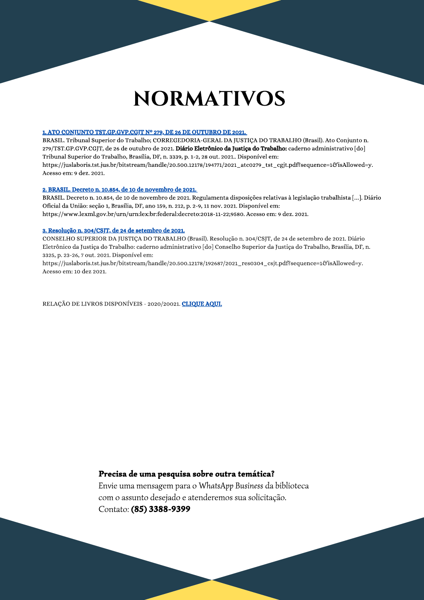# **NORMATIVOS**

#### 1. ATO CONJUNTO TST.GP.GVP.CGJT Nº 279, DE 26 DE OUTUBRO DE 2021.

BRASIL. Tribunal Superior do Trabalho; CORREGEDORIA-GERAL DA JUSTICA DO TRABALHO (Brasil). Ato Conjunto n. 279/TST.GP.GVP.CGJT, de 26 de outubro de 2021. Diário Eletrônico da Justica do Trabalho: caderno administrativo [do] Tribunal Superior do Trabalho, Brasília, DF, n. 3339, p. 1-2, 28 out. 2021.. Disponível em: https://juslaboris.tst.jus.br/bitstream/handle/20.500.12178/194771/2021\_atc0279\_tst\_cgjt.pdf?sequence=1&isAllowed=y. Acesso em: 9 dez. 2021.

#### 2. BRASIL. Decreto n. 10.854, de 10 de novembro de 2021.

BRASIL. Decreto n. 10.854, de 10 de novembro de 2021. Regulamenta disposições relativas à legislação trabalhista [...]. Diário Oficial da União: seção 1, Brasília, DF, ano 159, n. 212, p. 2-9, 11 nov. 2021. Disponível em: https://www.lexml.gov.br/urn/urn:lex:br:federal:decreto:2018-11-22;9580. Acesso em: 9 dez. 2021.

### 3. Resolução n. 304/CSJT, de 24 de setembro de 2021.

CONSELHO SUPERIOR DA JUSTIÇA DO TRABALHO (Brasil). Resolução n. 304/CSJT, de 24 de setembro de 2021. Diário Eletrônico da Justiça do Trabalho: caderno administrativo [do] Conselho Superior da Justiça do Trabalho, Brasília, DF, n. 3325, p. 23-26, 7 out. 2021. Disponível em:

https://juslaboris.tst.jus.br/bitstream/handle/20.500.12178/192687/2021\_res0304\_csjt.pdf?sequence=1&isAllowed=y. Acesso em: 10 dez 2021.

RELAÇÃO DE LIVROS DISPONÍVEIS - 2020/20021. CLIQUE AQUI.

## Precisa de uma pesquisa sobre outra temática?

Envie uma mensagem para o WhatsApp Business da biblioteca com o assunto desejado e atenderemos sua solicitação. Contato: (85) 3388-9399